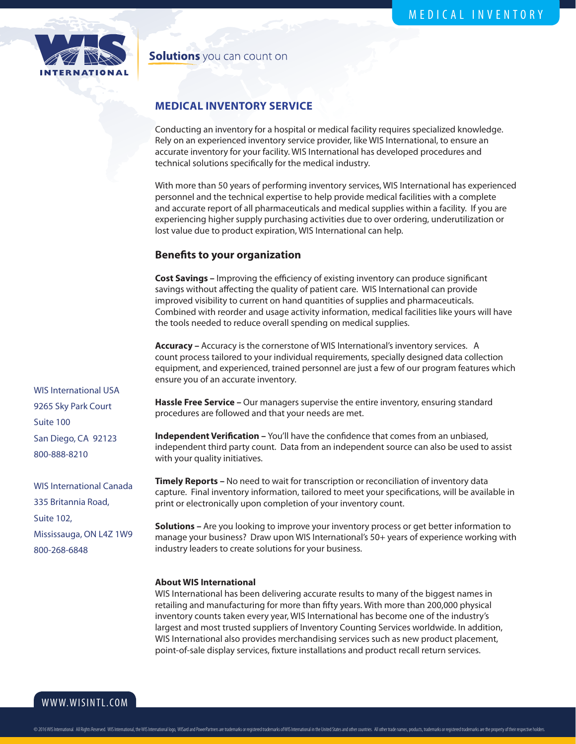

## **Solutions** you can count on

## **MEDICAL INVENTORY SERVICE**

Conducting an inventory for a hospital or medical facility requires specialized knowledge. Rely on an experienced inventory service provider, like WIS International, to ensure an accurate inventory for your facility. WIS International has developed procedures and technical solutions specifically for the medical industry.

With more than 50 years of performing inventory services, WIS International has experienced personnel and the technical expertise to help provide medical facilities with a complete and accurate report of all pharmaceuticals and medical supplies within a facility. If you are experiencing higher supply purchasing activities due to over ordering, underutilization or lost value due to product expiration, WIS International can help.

## **Benefits to your organization**

**Cost Savings –** Improving the efficiency of existing inventory can produce significant savings without affecting the quality of patient care. WIS International can provide improved visibility to current on hand quantities of supplies and pharmaceuticals. Combined with reorder and usage activity information, medical facilities like yours will have the tools needed to reduce overall spending on medical supplies.

**Accuracy –** Accuracy is the cornerstone of WIS International's inventory services. A count process tailored to your individual requirements, specially designed data collection equipment, and experienced, trained personnel are just a few of our program features which ensure you of an accurate inventory.

Hassle Free Service - Our managers supervise the entire inventory, ensuring standard procedures are followed and that your needs are met.

**Independent Verification –** You'll have the confidence that comes from an unbiased, independent third party count. Data from an independent source can also be used to assist with your quality initiatives.

**Timely Reports –** No need to wait for transcription or reconciliation of inventory data capture. Final inventory information, tailored to meet your specifications, will be available in print or electronically upon completion of your inventory count.

**Solutions –** Are you looking to improve your inventory process or get better information to manage your business? Draw upon WIS International's 50+ years of experience working with industry leaders to create solutions for your business.

## **About WIS International**

WIS International has been delivering accurate results to many of the biggest names in retailing and manufacturing for more than fifty years. With more than 200,000 physical inventory counts taken every year, WIS International has become one of the industry's largest and most trusted suppliers of Inventory Counting Services worldwide. In addition, WIS International also provides merchandising services such as new product placement, point-of-sale display services, fixture installations and product recall return services.

WIS International USA 9265 Sky Park Court Suite 100 San Diego, CA 92123 800-888-8210

WIS International Canada 335 Britannia Road, Suite 102, Mississauga, ON L4Z 1W9 800-268-6848

WWW.WISINTL.COM